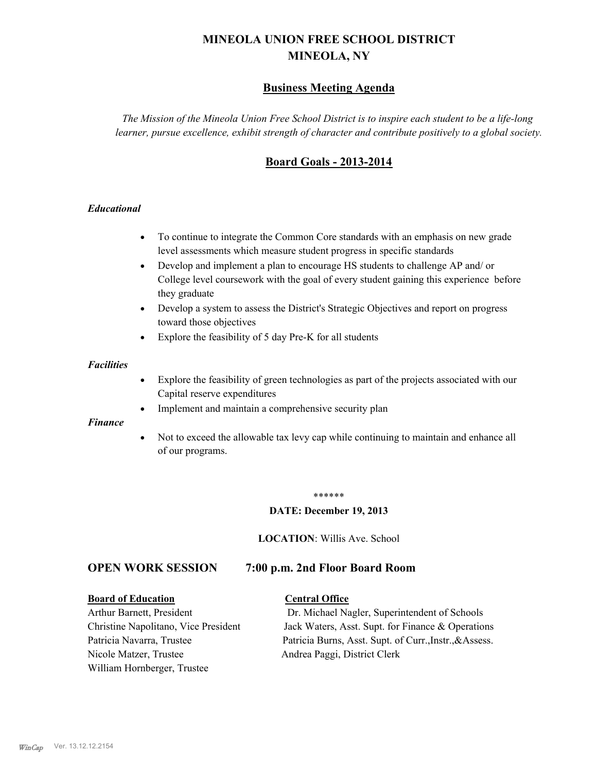# **MINEOLA UNION FREE SCHOOL DISTRICT MINEOLA, NY**

# **Business Meeting Agenda**

*The Mission of the Mineola Union Free School District is to inspire each student to be a life-long learner, pursue excellence, exhibit strength of character and contribute positively to a global society.*

# **Board Goals - 2013-2014**

### *Educational*

- · To continue to integrate the Common Core standards with an emphasis on new grade level assessments which measure student progress in specific standards
- · Develop and implement a plan to encourage HS students to challenge AP and/ or College level coursework with the goal of every student gaining this experience before they graduate
- Develop a system to assess the District's Strategic Objectives and report on progress toward those objectives
- · Explore the feasibility of 5 day Pre-K for all students

### *Facilities*

- · Explore the feasibility of green technologies as part of the projects associated with our Capital reserve expenditures
- Implement and maintain a comprehensive security plan

### *Finance*

• Not to exceed the allowable tax levy cap while continuing to maintain and enhance all of our programs.

### \*\*\*\*\*\*

### **DATE: December 19, 2013**

**LOCATION**: Willis Ave. School

# **OPEN WORK SESSION 7:00 p.m. 2nd Floor Board Room**

### **Board of Education Central Office**

Nicole Matzer, Trustee Andrea Paggi, District Clerk William Hornberger, Trustee

Arthur Barnett, President Dr. Michael Nagler, Superintendent of Schools Christine Napolitano, Vice President Jack Waters, Asst. Supt. for Finance & Operations Patricia Navarra, Trustee Patricia Burns, Asst. Supt. of Curr., Instr., &Assess.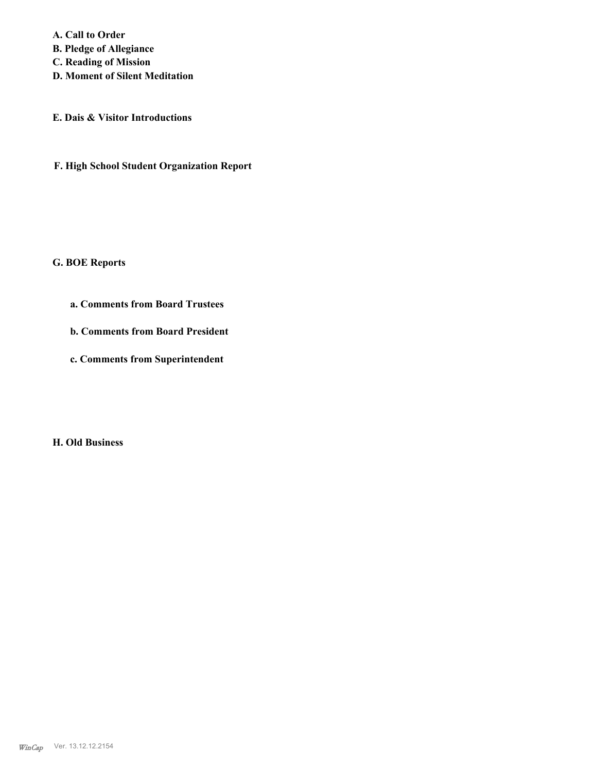**A. Call to Order B. Pledge of Allegiance C. Reading of Mission D. Moment of Silent Meditation**

**E. Dais & Visitor Introductions**

**F. High School Student Organization Report**

**G. BOE Reports**

**a. Comments from Board Trustees**

**b. Comments from Board President**

**c. Comments from Superintendent**

**H. Old Business**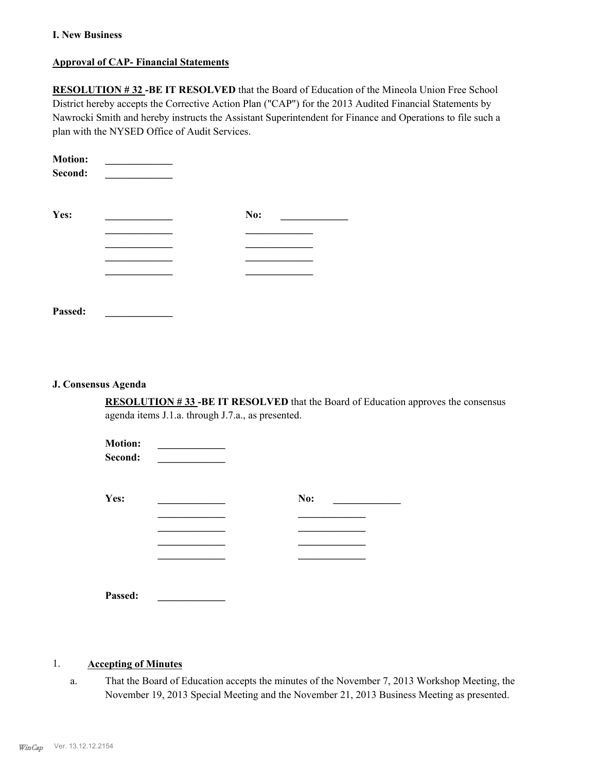### **I. New Business**

### **Approval of CAP- Financial Statements**

**RESOLUTION # 32 -BE IT RESOLVED** that the Board of Education of the Mineola Union Free School District hereby accepts the Corrective Action Plan ("CAP") for the 2013 Audited Financial Statements by Nawrocki Smith and hereby instructs the Assistant Superintendent for Finance and Operations to file such a plan with the NYSED Office of Audit Services.

| <b>Motion:</b><br>Second: |     |  |
|---------------------------|-----|--|
| Yes:                      | No: |  |
|                           |     |  |
|                           |     |  |
|                           |     |  |
|                           |     |  |
|                           |     |  |
| Passed:                   |     |  |

### **J. Consensus Agenda**

**RESOLUTION # 33 -BE IT RESOLVED** that the Board of Education approves the consensus agenda items J.1.a. through J.7.a., as presented.

| <b>Motion:</b><br>Second: |     |
|---------------------------|-----|
| Yes:                      | No: |
|                           |     |
|                           |     |
|                           |     |
|                           |     |
| Passed:                   |     |

### 1. **Accepting of Minutes**

That the Board of Education accepts the minutes of the November 7, 2013 Workshop Meeting, the November 19, 2013 Special Meeting and the November 21, 2013 Business Meeting as presented. a.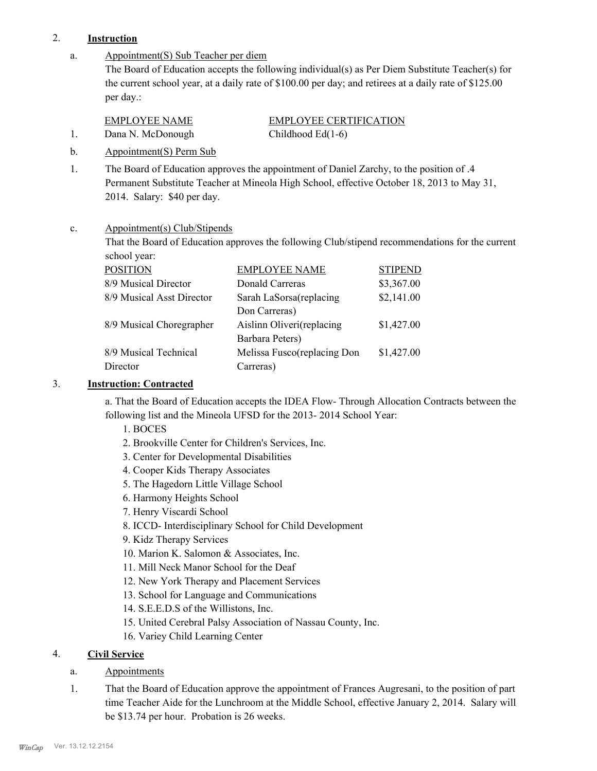# 2. **Instruction**

Appointment(S) Sub Teacher per diem The Board of Education accepts the following individual(s) as Per Diem Substitute Teacher(s) for the current school year, at a daily rate of \$100.00 per day; and retirees at a daily rate of \$125.00 per day.: a.

EMPLOYEE NAME EMPLOYEE CERTIFICATION

1. Dana N. McDonough Childhood Ed(1-6)

b. Appointment(S) Perm Sub

The Board of Education approves the appointment of Daniel Zarchy, to the position of .4 Permanent Substitute Teacher at Mineola High School, effective October 18, 2013 to May 31, 2014. Salary: \$40 per day. 1.

### Appointment(s) Club/Stipends c.

That the Board of Education approves the following Club/stipend recommendations for the current school year:

| <b>EMPLOYEE NAME</b>        | <b>STIPEND</b> |
|-----------------------------|----------------|
| Donald Carreras             | \$3,367.00     |
| Sarah LaSorsa(replacing     | \$2,141.00     |
| Don Carreras)               |                |
| Aislinn Oliveri(replacing   | \$1,427.00     |
| Barbara Peters)             |                |
| Melissa Fusco(replacing Don | \$1,427.00     |
| Carreras)                   |                |
|                             |                |

### 3. **Instruction: Contracted**

a. That the Board of Education accepts the IDEA Flow- Through Allocation Contracts between the following list and the Mineola UFSD for the 2013- 2014 School Year:

- 1. BOCES
- 2. Brookville Center for Children's Services, Inc.
- 3. Center for Developmental Disabilities
- 4. Cooper Kids Therapy Associates
- 5. The Hagedorn Little Village School
- 6. Harmony Heights School
- 7. Henry Viscardi School
- 8. ICCD- Interdisciplinary School for Child Development
- 9. Kidz Therapy Services
- 10. Marion K. Salomon & Associates, Inc.
- 11. Mill Neck Manor School for the Deaf
- 12. New York Therapy and Placement Services
- 13. School for Language and Communications
- 14. S.E.E.D.S of the Willistons, Inc.
- 15. United Cerebral Palsy Association of Nassau County, Inc.
- 16. Variey Child Learning Center

# 4. **Civil Service**

# a. Appointments

That the Board of Education approve the appointment of Frances Augresani, to the position of part time Teacher Aide for the Lunchroom at the Middle School, effective January 2, 2014. Salary will be \$13.74 per hour. Probation is 26 weeks. 1.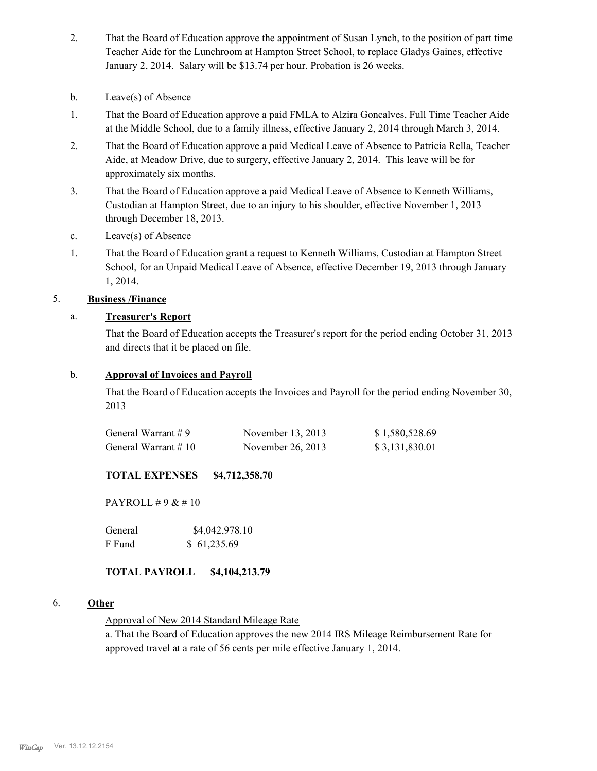- That the Board of Education approve the appointment of Susan Lynch, to the position of part time Teacher Aide for the Lunchroom at Hampton Street School, to replace Gladys Gaines, effective January 2, 2014. Salary will be \$13.74 per hour. Probation is 26 weeks. 2.
- b. Leave(s) of Absence
- That the Board of Education approve a paid FMLA to Alzira Goncalves, Full Time Teacher Aide at the Middle School, due to a family illness, effective January 2, 2014 through March 3, 2014. 1.
- That the Board of Education approve a paid Medical Leave of Absence to Patricia Rella, Teacher Aide, at Meadow Drive, due to surgery, effective January 2, 2014. This leave will be for approximately six months. 2.
- That the Board of Education approve a paid Medical Leave of Absence to Kenneth Williams, Custodian at Hampton Street, due to an injury to his shoulder, effective November 1, 2013 through December 18, 2013. 3.
- c. Leave(s) of Absence
- That the Board of Education grant a request to Kenneth Williams, Custodian at Hampton Street School, for an Unpaid Medical Leave of Absence, effective December 19, 2013 through January 1, 2014. 1.

### 5. **Business /Finance**

### a. **Treasurer's Report**

That the Board of Education accepts the Treasurer's report for the period ending October 31, 2013 and directs that it be placed on file.

### b. **Approval of Invoices and Payroll**

That the Board of Education accepts the Invoices and Payroll for the period ending November 30, 2013

| General Warrant #9  | November 13, 2013 | \$1,580,528.69 |
|---------------------|-------------------|----------------|
| General Warrant #10 | November 26, 2013 | \$3,131,830.01 |

# **TOTAL EXPENSES \$4,712,358.70**

PAYROLL # 9 & # 10

General  $$4,042,978.10$ F Fund \$ 61,235.69

### **TOTAL PAYROLL \$4,104,213.79**

### 6. **Other**

Approval of New 2014 Standard Mileage Rate

a. That the Board of Education approves the new 2014 IRS Mileage Reimbursement Rate for approved travel at a rate of 56 cents per mile effective January 1, 2014.